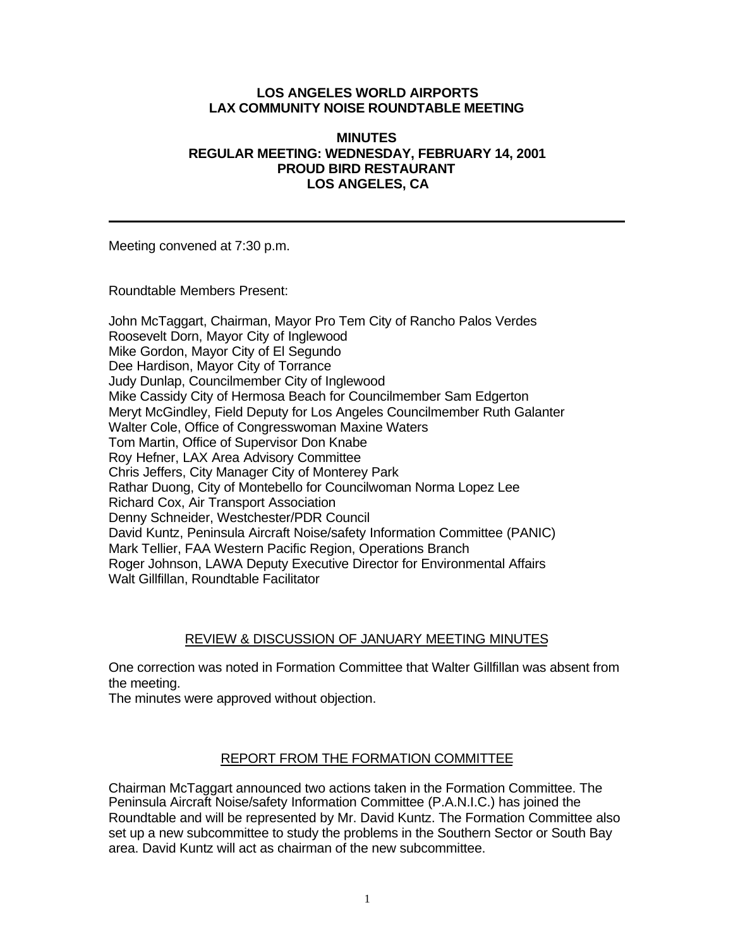### **LOS ANGELES WORLD AIRPORTS LAX COMMUNITY NOISE ROUNDTABLE MEETING**

#### **MINUTES REGULAR MEETING: WEDNESDAY, FEBRUARY 14, 2001 PROUD BIRD RESTAURANT LOS ANGELES, CA**

Meeting convened at 7:30 p.m.

Roundtable Members Present:

John McTaggart, Chairman, Mayor Pro Tem City of Rancho Palos Verdes Roosevelt Dorn, Mayor City of Inglewood Mike Gordon, Mayor City of El Segundo Dee Hardison, Mayor City of Torrance Judy Dunlap, Councilmember City of Inglewood Mike Cassidy City of Hermosa Beach for Councilmember Sam Edgerton Meryt McGindley, Field Deputy for Los Angeles Councilmember Ruth Galanter Walter Cole, Office of Congresswoman Maxine Waters Tom Martin, Office of Supervisor Don Knabe Roy Hefner, LAX Area Advisory Committee Chris Jeffers, City Manager City of Monterey Park Rathar Duong, City of Montebello for Councilwoman Norma Lopez Lee Richard Cox, Air Transport Association Denny Schneider, Westchester/PDR Council David Kuntz, Peninsula Aircraft Noise/safety Information Committee (PANIC) Mark Tellier, FAA Western Pacific Region, Operations Branch Roger Johnson, LAWA Deputy Executive Director for Environmental Affairs Walt Gillfillan, Roundtable Facilitator

# REVIEW & DISCUSSION OF JANUARY MEETING MINUTES

One correction was noted in Formation Committee that Walter Gillfillan was absent from the meeting.

The minutes were approved without objection.

### REPORT FROM THE FORMATION COMMITTEE

Chairman McTaggart announced two actions taken in the Formation Committee. The Peninsula Aircraft Noise/safety Information Committee (P.A.N.I.C.) has joined the Roundtable and will be represented by Mr. David Kuntz. The Formation Committee also set up a new subcommittee to study the problems in the Southern Sector or South Bay area. David Kuntz will act as chairman of the new subcommittee.